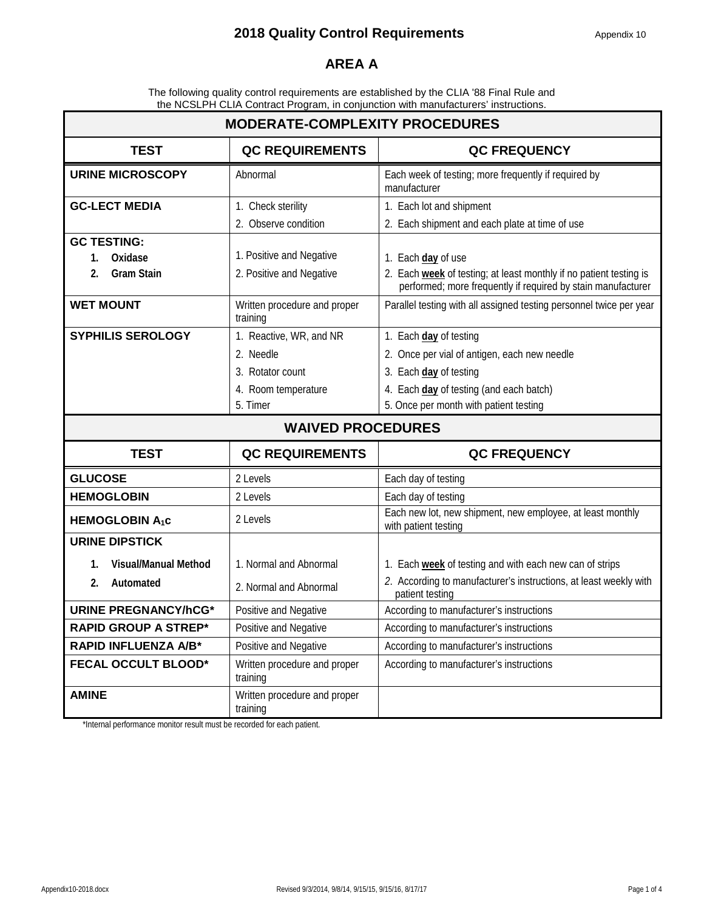#### **AREA A**

The following quality control requirements are established by the CLIA '88 Final Rule and the NCSLPH CLIA Contract Program, in conjunction with manufacturers' instructions.

| <b>MODERATE-COMPLEXITY PROCEDURES</b> |                                          |                                                                                                                                    |  |  |
|---------------------------------------|------------------------------------------|------------------------------------------------------------------------------------------------------------------------------------|--|--|
| <b>TEST</b>                           | <b>QC REQUIREMENTS</b>                   | <b>QC FREQUENCY</b>                                                                                                                |  |  |
| <b>URINE MICROSCOPY</b>               | Abnormal                                 | Each week of testing; more frequently if required by<br>manufacturer                                                               |  |  |
| <b>GC-LECT MEDIA</b>                  | 1. Check sterility                       | 1. Each lot and shipment                                                                                                           |  |  |
|                                       | 2. Observe condition                     | 2. Each shipment and each plate at time of use                                                                                     |  |  |
| <b>GC TESTING:</b>                    |                                          |                                                                                                                                    |  |  |
| Oxidase<br>1.                         | 1. Positive and Negative                 | 1. Each day of use                                                                                                                 |  |  |
| <b>Gram Stain</b><br>2.               | 2. Positive and Negative                 | 2. Each week of testing; at least monthly if no patient testing is<br>performed; more frequently if required by stain manufacturer |  |  |
| <b>WET MOUNT</b>                      | Written procedure and proper<br>training | Parallel testing with all assigned testing personnel twice per year                                                                |  |  |
| <b>SYPHILIS SEROLOGY</b>              | 1. Reactive, WR, and NR                  | 1. Each day of testing                                                                                                             |  |  |
|                                       | 2. Needle                                | 2. Once per vial of antigen, each new needle                                                                                       |  |  |
|                                       | 3. Rotator count                         | 3. Each day of testing                                                                                                             |  |  |
|                                       | 4. Room temperature                      | 4. Each day of testing (and each batch)                                                                                            |  |  |
|                                       | 5. Timer                                 | 5. Once per month with patient testing                                                                                             |  |  |
| <b>WAIVED PROCEDURES</b>              |                                          |                                                                                                                                    |  |  |
|                                       |                                          |                                                                                                                                    |  |  |
| <b>TEST</b>                           | <b>QC REQUIREMENTS</b>                   | <b>QC FREQUENCY</b>                                                                                                                |  |  |
| <b>GLUCOSE</b>                        | 2 Levels                                 | Each day of testing                                                                                                                |  |  |
| <b>HEMOGLOBIN</b>                     | 2 Levels                                 | Each day of testing                                                                                                                |  |  |
| <b>HEMOGLOBIN A<sub>1</sub>c</b>      | 2 Levels                                 | Each new lot, new shipment, new employee, at least monthly<br>with patient testing                                                 |  |  |
| <b>URINE DIPSTICK</b>                 |                                          |                                                                                                                                    |  |  |
| Visual/Manual Method<br>1.            | 1. Normal and Abnormal                   | 1. Each week of testing and with each new can of strips                                                                            |  |  |
| Automated<br>2.                       | 2. Normal and Abnormal                   | 2. According to manufacturer's instructions, at least weekly with<br>patient testing                                               |  |  |
| <b>URINE PREGNANCY/hCG*</b>           | Positive and Negative                    | According to manufacturer's instructions                                                                                           |  |  |
| <b>RAPID GROUP A STREP*</b>           | Positive and Negative                    | According to manufacturer's instructions                                                                                           |  |  |
| <b>RAPID INFLUENZA A/B*</b>           | Positive and Negative                    | According to manufacturer's instructions                                                                                           |  |  |
| <b>FECAL OCCULT BLOOD*</b>            | Written procedure and proper<br>training | According to manufacturer's instructions                                                                                           |  |  |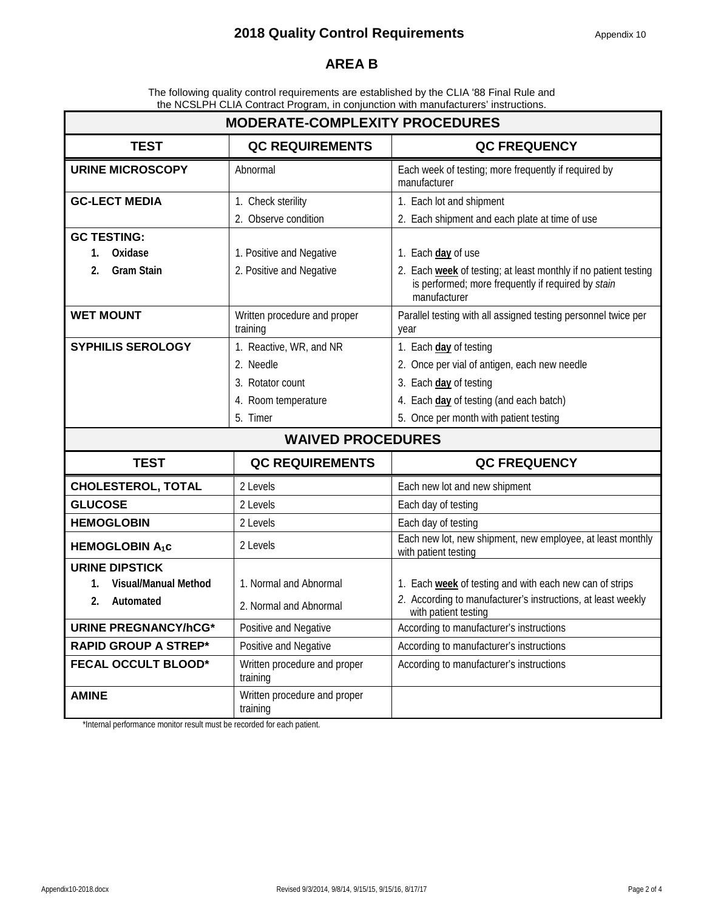#### **AREA B**

The following quality control requirements are established by the CLIA '88 Final Rule and the NCSLPH CLIA Contract Program, in conjunction with manufacturers' instructions.

| <b>MODERATE-COMPLEXITY PROCEDURES</b> |                                          |                                                                                                                                       |  |  |
|---------------------------------------|------------------------------------------|---------------------------------------------------------------------------------------------------------------------------------------|--|--|
| <b>TEST</b>                           | <b>QC REQUIREMENTS</b>                   | <b>QC FREQUENCY</b>                                                                                                                   |  |  |
| <b>URINE MICROSCOPY</b>               | Abnormal                                 | Each week of testing; more frequently if required by<br>manufacturer                                                                  |  |  |
| <b>GC-LECT MEDIA</b>                  | 1. Check sterility                       | 1. Each lot and shipment                                                                                                              |  |  |
|                                       | 2. Observe condition                     | 2. Each shipment and each plate at time of use                                                                                        |  |  |
| <b>GC TESTING:</b>                    |                                          |                                                                                                                                       |  |  |
| Oxidase<br>1.                         | 1. Positive and Negative                 | 1. Each day of use                                                                                                                    |  |  |
| <b>Gram Stain</b><br>2.               | 2. Positive and Negative                 | 2. Each week of testing; at least monthly if no patient testing<br>is performed; more frequently if required by stain<br>manufacturer |  |  |
| <b>WET MOUNT</b>                      | Written procedure and proper<br>training | Parallel testing with all assigned testing personnel twice per<br>year                                                                |  |  |
| <b>SYPHILIS SEROLOGY</b>              | 1. Reactive, WR, and NR                  | 1. Each day of testing                                                                                                                |  |  |
|                                       | 2. Needle                                | 2. Once per vial of antigen, each new needle                                                                                          |  |  |
|                                       | 3. Rotator count                         | 3. Each day of testing                                                                                                                |  |  |
|                                       | 4. Room temperature                      | 4. Each day of testing (and each batch)                                                                                               |  |  |
|                                       | 5. Timer                                 | 5. Once per month with patient testing                                                                                                |  |  |
|                                       | <b>WAIVED PROCEDURES</b>                 |                                                                                                                                       |  |  |
| <b>TEST</b>                           | <b>QC REQUIREMENTS</b>                   | <b>QC FREQUENCY</b>                                                                                                                   |  |  |
| <b>CHOLESTEROL, TOTAL</b>             | 2 Levels                                 | Each new lot and new shipment                                                                                                         |  |  |
| <b>GLUCOSE</b>                        | 2 Levels                                 | Each day of testing                                                                                                                   |  |  |
| <b>HEMOGLOBIN</b>                     | 2 Levels                                 | Each day of testing                                                                                                                   |  |  |
| <b>HEMOGLOBIN A1C</b>                 | 2 Levels                                 | Each new lot, new shipment, new employee, at least monthly<br>with patient testing                                                    |  |  |
| <b>URINE DIPSTICK</b>                 |                                          |                                                                                                                                       |  |  |
| <b>Visual/Manual Method</b><br>1.     | 1. Normal and Abnormal                   | 1. Each week of testing and with each new can of strips                                                                               |  |  |
| Automated<br>2.                       | 2. Normal and Abnormal                   | 2. According to manufacturer's instructions, at least weekly<br>with patient testing                                                  |  |  |
| <b>URINE PREGNANCY/hCG*</b>           | Positive and Negative                    | According to manufacturer's instructions                                                                                              |  |  |
| <b>RAPID GROUP A STREP*</b>           | Positive and Negative                    | According to manufacturer's instructions                                                                                              |  |  |
| <b>FECAL OCCULT BLOOD*</b>            | Written procedure and proper<br>training | According to manufacturer's instructions                                                                                              |  |  |
| <b>AMINE</b>                          | Written procedure and proper<br>training |                                                                                                                                       |  |  |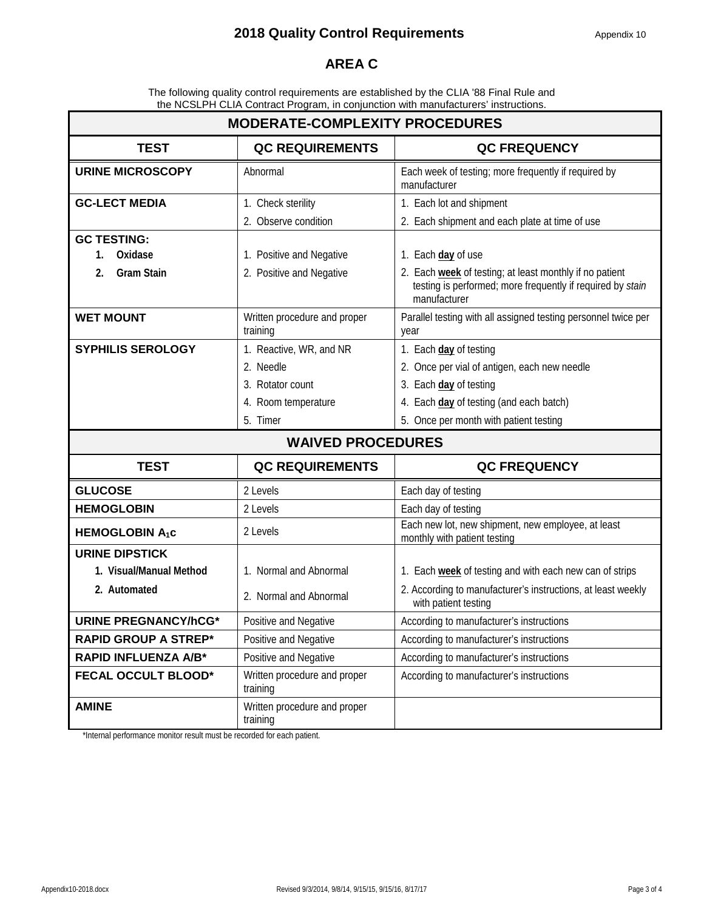### **AREA C**

The following quality control requirements are established by the CLIA '88 Final Rule and the NCSLPH CLIA Contract Program, in conjunction with manufacturers' instructions.

| <b>MODERATE-COMPLEXITY PROCEDURES</b> |                                          |                                                                                                                                       |  |  |  |
|---------------------------------------|------------------------------------------|---------------------------------------------------------------------------------------------------------------------------------------|--|--|--|
| <b>TEST</b>                           | <b>QC REQUIREMENTS</b>                   | <b>QC FREQUENCY</b>                                                                                                                   |  |  |  |
| <b>URINE MICROSCOPY</b>               | Abnormal                                 | Each week of testing; more frequently if required by<br>manufacturer                                                                  |  |  |  |
| <b>GC-LECT MEDIA</b>                  | 1. Check sterility                       | 1. Each lot and shipment                                                                                                              |  |  |  |
|                                       | 2. Observe condition                     | 2. Each shipment and each plate at time of use                                                                                        |  |  |  |
| <b>GC TESTING:</b>                    |                                          |                                                                                                                                       |  |  |  |
| Oxidase<br>1.                         | 1. Positive and Negative                 | 1. Each day of use                                                                                                                    |  |  |  |
| <b>Gram Stain</b><br>2.               | 2. Positive and Negative                 | 2. Each week of testing; at least monthly if no patient<br>testing is performed; more frequently if required by stain<br>manufacturer |  |  |  |
| <b>WET MOUNT</b>                      | Written procedure and proper<br>training | Parallel testing with all assigned testing personnel twice per<br>year                                                                |  |  |  |
| <b>SYPHILIS SEROLOGY</b>              | 1. Reactive, WR, and NR                  | 1. Each day of testing                                                                                                                |  |  |  |
|                                       | 2. Needle                                | 2. Once per vial of antigen, each new needle                                                                                          |  |  |  |
|                                       | 3. Rotator count                         | 3. Each day of testing                                                                                                                |  |  |  |
|                                       | 4. Room temperature                      | 4. Each day of testing (and each batch)                                                                                               |  |  |  |
|                                       | 5. Timer                                 | 5. Once per month with patient testing                                                                                                |  |  |  |
|                                       | <b>WAIVED PROCEDURES</b>                 |                                                                                                                                       |  |  |  |
| <b>TEST</b>                           | <b>QC REQUIREMENTS</b>                   | <b>QC FREQUENCY</b>                                                                                                                   |  |  |  |
| <b>GLUCOSE</b>                        | 2 Levels                                 | Each day of testing                                                                                                                   |  |  |  |
| <b>HEMOGLOBIN</b>                     | 2 Levels                                 | Each day of testing                                                                                                                   |  |  |  |
| <b>HEMOGLOBIN A<sub>1</sub>c</b>      | 2 Levels                                 | Each new lot, new shipment, new employee, at least<br>monthly with patient testing                                                    |  |  |  |
| <b>URINE DIPSTICK</b>                 |                                          |                                                                                                                                       |  |  |  |
| 1. Visual/Manual Method               | 1. Normal and Abnormal                   | 1. Each week of testing and with each new can of strips                                                                               |  |  |  |
| 2. Automated                          | 2. Normal and Abnormal                   | 2. According to manufacturer's instructions, at least weekly<br>with patient testing                                                  |  |  |  |
| <b>URINE PREGNANCY/hCG*</b>           | Positive and Negative                    | According to manufacturer's instructions                                                                                              |  |  |  |
| <b>RAPID GROUP A STREP*</b>           | Positive and Negative                    | According to manufacturer's instructions                                                                                              |  |  |  |
| <b>RAPID INFLUENZA A/B*</b>           | Positive and Negative                    | According to manufacturer's instructions                                                                                              |  |  |  |
| <b>FECAL OCCULT BLOOD*</b>            | Written procedure and proper<br>training | According to manufacturer's instructions                                                                                              |  |  |  |
| <b>AMINE</b>                          | Written procedure and proper<br>training |                                                                                                                                       |  |  |  |